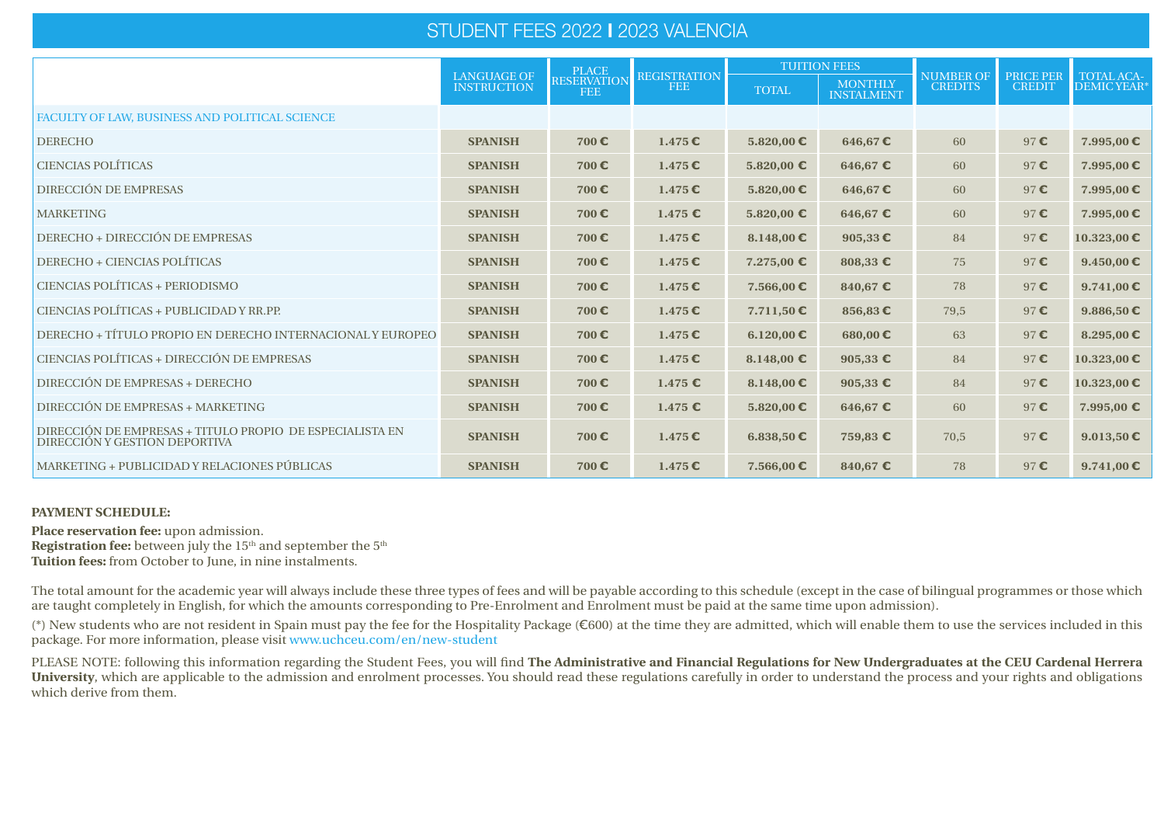# STUDENT FEES 2022 **I** 2023 VALENCIA

|                                                                                           | <b>LANGUAGE OF</b> | <b>PLACE</b>                     | <b>REGISTRATION</b> |                | <b>TUITION FEES</b>                 | <b>NUMBER OF</b> | <b>PRICE PER</b> | TOTAL ACA-          |
|-------------------------------------------------------------------------------------------|--------------------|----------------------------------|---------------------|----------------|-------------------------------------|------------------|------------------|---------------------|
|                                                                                           | <b>INSTRUCTION</b> | <b>RESERVATION</b><br><b>FEE</b> | <b>FEE</b>          |                | <b>MONTHLY</b><br><b>INSTALMENT</b> | <b>CREDITS</b>   | <b>CREDIT</b>    | DEMIC YEAR*         |
| FACULTY OF LAW, BUSINESS AND POLITICAL SCIENCE                                            |                    |                                  |                     |                |                                     |                  |                  |                     |
| <b>DERECHO</b>                                                                            | <b>SPANISH</b>     | 700€                             | $1.475 \mathbf{C}$  | 5.820,00 €     | 646,67 $\epsilon$                   | 60               | 97C              | 7.995,00€           |
| <b>CIENCIAS POLÍTICAS</b>                                                                 | <b>SPANISH</b>     | 700€                             | $1.475 \in$         | 5.820,00 €     | 646,67 $\epsilon$                   | 60               | 97C              | 7.995,00€           |
| DIRECCIÓN DE EMPRESAS                                                                     | <b>SPANISH</b>     | 700€                             | $1.475 \mathbf{C}$  | 5.820,00 €     | 646,67 $\epsilon$                   | 60               | 97C              | 7.995,00€           |
| <b>MARKETING</b>                                                                          | <b>SPANISH</b>     | 700€                             | $1.475$ $\epsilon$  | 5.820,00 €     | 646,67 $\epsilon$                   | 60               | 97C              | 7.995,00€           |
| DERECHO + DIRECCIÓN DE EMPRESAS                                                           | <b>SPANISH</b>     | 700€                             | $1.475 \in$         | $8.148,00$ €   | 905,33 $\epsilon$                   | 84               | 97C              | $10.323,00$ €       |
| <b>DERECHO + CIENCIAS POLÍTICAS</b>                                                       | <b>SPANISH</b>     | 700€                             | $1.475 \in$         | 7.275,00 €     | 808,33 €                            | 75               | 97C              | $9.450,00$ €        |
| CIENCIAS POLÍTICAS + PERIODISMO                                                           | <b>SPANISH</b>     | 700€                             | $1.475 \mathbf{C}$  | 7.566,00€      | 840,67 €                            | 78               | 97C              | 9.741,00 $\epsilon$ |
| CIENCIAS POLÍTICAS + PUBLICIDAD Y RR.PP.                                                  | <b>SPANISH</b>     | 700 $\epsilon$                   | $1.475 \mathbf{C}$  | $7.711,50$ €   | 856,83 $\epsilon$                   | 79,5             | 97C              | 9.886,50 €          |
| DERECHO + TÍTULO PROPIO EN DERECHO INTERNACIONAL Y EUROPEO                                | <b>SPANISH</b>     | 700€                             | $1.475 \mathbf{C}$  | 6.120,00 €     | 680,00€                             | 63               | 97C              | $8.295,00$ €        |
| CIENCIAS POLÍTICAS + DIRECCIÓN DE EMPRESAS                                                | <b>SPANISH</b>     | 700€                             | 1.475               | $8.148,00 \in$ | 905,33 $\epsilon$                   | 84               | 97€              | $10.323,00$ €       |
| DIRECCIÓN DE EMPRESAS + DERECHO                                                           | <b>SPANISH</b>     | 700€                             | $1.475 \in$         | $8.148,00$ €   | 905,33 $\epsilon$                   | 84               | 97C              | $10.323,00$ €       |
| DIRECCIÓN DE EMPRESAS + MARKETING                                                         | <b>SPANISH</b>     | 700€                             | $1.475$ $\epsilon$  | 5.820,00 €     | 646,67 $\epsilon$                   | 60               | 97C              | 7.995,00 €          |
| DIRECCIÓN DE EMPRESAS + TITULO PROPIO DE ESPECIALISTA EN<br>DIRECCIÓN Y GESTION DEPORTIVA | <b>SPANISH</b>     | 700€                             | $1.475 \in$         | 6.838,50 €     | 759,83 €                            | 70,5             | 97C              | 9.013,50 €          |
| MARKETING + PUBLICIDAD Y RELACIONES PÚBLICAS                                              | <b>SPANISH</b>     | 700 $\epsilon$                   | $1.475 \in$         | $7.566,00$ €   | 840,67 $\epsilon$                   | 78               | 97C              | 9.741,00 $\epsilon$ |

# **PAYMENT SCHEDULE:**

**Place reservation fee:** upon admission. **Registration fee:** between july the 15<sup>th</sup> and september the 5<sup>th</sup> **Tuition fees:** from October to June, in nine instalments.

The total amount for the academic year will always include these three types of fees and will be payable according to this schedule (except in the case of bilingual programmes or those which are taught completely in English, for which the amounts corresponding to Pre-Enrolment and Enrolment must be paid at the same time upon admission).

(\*) New students who are not resident in Spain must pay the fee for the Hospitality Package (€600) at the time they are admitted, which will enable them to use the services included in this package. For more information, please visit www.uchceu.com/en/new-student

PLEASE NOTE: following this information regarding the Student Fees, you will find **The Administrative and Financial Regulations for New Undergraduates at the CEU Cardenal Herrera University**, which are applicable to the admission and enrolment processes. You should read these regulations carefully in order to understand the process and your rights and obligations which derive from them.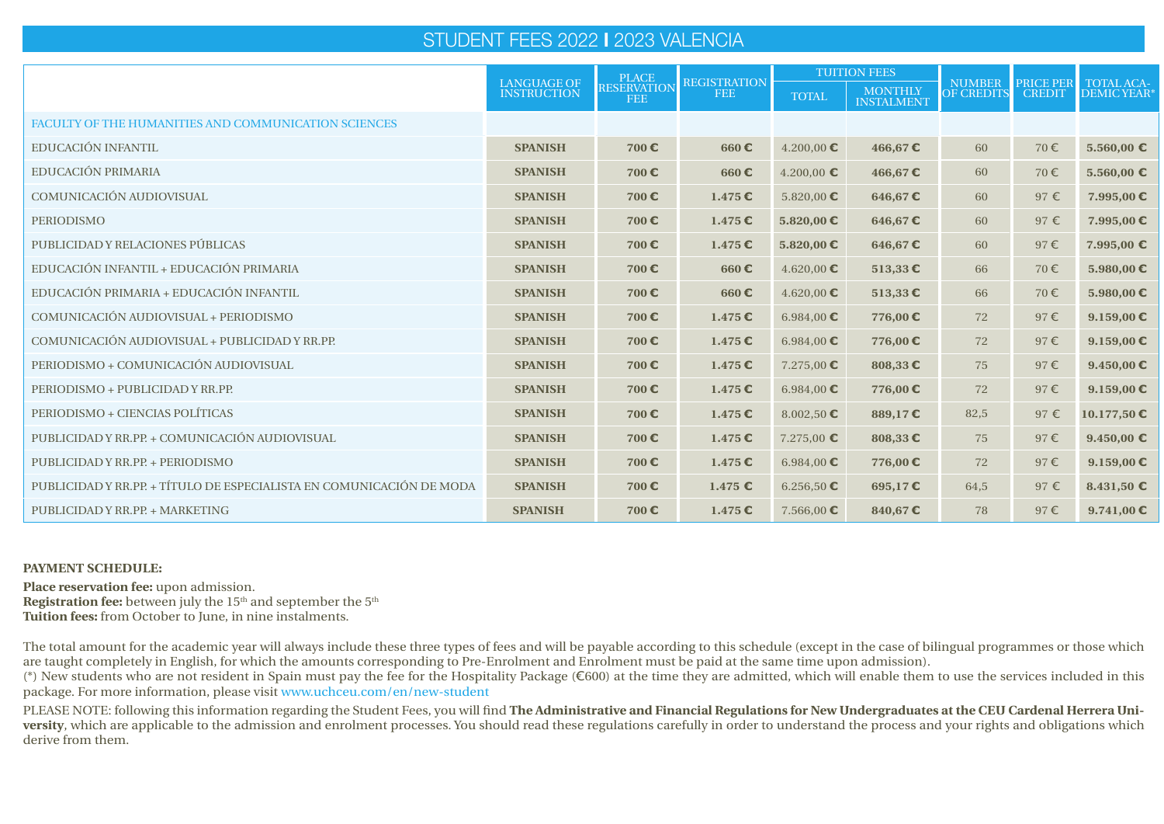# STUDENT FEES 2022 **I** 2023 VALENCIA

|                                                                      | <b>LANGUAGE OF</b> | <b>PLACE</b>                     | <b>REGISTRATION</b> | <b>TUITION FEES</b>    |                                     | <b>NUMBER</b>     | <b>PRICE PER</b> |                                  |
|----------------------------------------------------------------------|--------------------|----------------------------------|---------------------|------------------------|-------------------------------------|-------------------|------------------|----------------------------------|
|                                                                      | <b>INSTRUCTION</b> | <b>RESERVATION</b><br><b>FEE</b> | <b>FEE</b>          | <b>TOTAL</b>           | <b>MONTHLY</b><br><b>INSTALMENT</b> | <b>OF CREDITS</b> | <b>CREDIT</b>    | <b>TOTAL ACA-</b><br>DEMIC YEAR* |
| <b>FACULTY OF THE HUMANITIES AND COMMUNICATION SCIENCES</b>          |                    |                                  |                     |                        |                                     |                   |                  |                                  |
| <b>EDUCACIÓN INFANTIL</b>                                            | <b>SPANISH</b>     | 700€                             | 660€                | $4.200,00$ €           | 466,67€                             | 60                | 70€              | 5.560,00 €                       |
| EDUCACIÓN PRIMARIA                                                   | <b>SPANISH</b>     | 700€                             | 660€                | $4.200,00$ €           | 466,67€                             | 60                | 70€              | 5.560,00 €                       |
| COMUNICACIÓN AUDIOVISUAL                                             | <b>SPANISH</b>     | 700€                             | 1.475E              | 5.820,00 €             | 646,67€                             | 60                | $97 \in$         | 7.995,00€                        |
| <b>PERIODISMO</b>                                                    | <b>SPANISH</b>     | 700€                             | 1.475E              | 5.820,00 €             | 646,67€                             | 60                | 97€              | 7.995,00€                        |
| PUBLICIDAD Y RELACIONES PÚBLICAS                                     | <b>SPANISH</b>     | 700€                             | $1.475 \, \epsilon$ | 5.820,00 €             | 646,67€                             | 60                | 97€              | 7.995,00 €                       |
| EDUCACIÓN INFANTIL + EDUCACIÓN PRIMARIA                              | <b>SPANISH</b>     | 700€                             | 660€                | $4.620,00$ €           | 513,33 $\epsilon$                   | 66                | 70€              | 5.980,00 €                       |
| EDUCACIÓN PRIMARIA + EDUCACIÓN INFANTIL                              | <b>SPANISH</b>     | 700€                             | 660€                | $4.620,00$ €           | 513,33 $\epsilon$                   | 66                | 70€              | 5.980,00 €                       |
| COMUNICACIÓN AUDIOVISUAL + PERIODISMO                                | <b>SPANISH</b>     | 700€                             | 1.475E              | 6.984,00 $€$           | 776,00€                             | 72                | 97E              | 9.159,00 $\epsilon$              |
| COMUNICACIÓN AUDIOVISUAL + PUBLICIDAD Y RR.PP.                       | <b>SPANISH</b>     | 700€                             | 1.475E              | 6.984,00 $€$           | 776,00€                             | 72                | 97E              | 9.159,00 $\epsilon$              |
| PERIODISMO + COMUNICACIÓN AUDIOVISUAL                                | <b>SPANISH</b>     | 700€                             | $1.475 \in$         | 7.275.00 E             | 808,33€                             | 75                | 97€              | 9.450,00 $\epsilon$              |
| PERIODISMO + PUBLICIDAD Y RR.PP.                                     | <b>SPANISH</b>     | 700€                             | 1.475E              | 6.984,00 $€$           | 776,00€                             | 72                | 97€              | $9.159,00$ €                     |
| PERIODISMO + CIENCIAS POLÍTICAS                                      | <b>SPANISH</b>     | 700€                             | 1.475E              | 8.002,50 $\epsilon$    | 889,17€                             | 82,5              | 97€              | 10.177,50€                       |
| PUBLICIDAD Y RR.PP. + COMUNICACIÓN AUDIOVISUAL                       | <b>SPANISH</b>     | 700€                             | 1.475               | $7.275,00$ €           | 808,33 $\epsilon$                   | 75                | 97E              | 9.450,00 $\epsilon$              |
| PUBLICIDAD Y RR.PP. + PERIODISMO                                     | <b>SPANISH</b>     | 700€                             | 1.475               | 6.984,00 $€$           | 776,00€                             | 72                | 97E              | $9.159,00$ €                     |
| PUBLICIDAD Y RR.PP. + TÍTULO DE ESPECIALISTA EN COMUNICACIÓN DE MODA | <b>SPANISH</b>     | 700€                             | 1.475 $\epsilon$    | $6.256,50 \, \text{C}$ | 695,17 $€$                          | 64,5              | 97 $\varepsilon$ | $8.431,50$ €                     |
| PUBLICIDAD Y RR.PP. + MARKETING                                      | <b>SPANISH</b>     | 700€                             | 1.475E              | 7.566,00 $\epsilon$    | 840,67€                             | 78                | $97 \in$         | 9.741,00 $\epsilon$              |

### **PAYMENT SCHEDULE:**

**Place reservation fee:** upon admission. **Registration fee:** between july the 15<sup>th</sup> and september the 5<sup>th</sup> **Tuition fees:** from October to June, in nine instalments.

The total amount for the academic year will always include these three types of fees and will be payable according to this schedule (except in the case of bilingual programmes or those which are taught completely in English, for which the amounts corresponding to Pre-Enrolment and Enrolment must be paid at the same time upon admission).

(\*) New students who are not resident in Spain must pay the fee for the Hospitality Package (€600) at the time they are admitted, which will enable them to use the services included in this package. For more information, please visit www.uchceu.com/en/new-student

PLEASE NOTE: following this information regarding the Student Fees, you will find **The Administrative and Financial Regulations for New Undergraduates at the CEU Cardenal Herrera University**, which are applicable to the admission and enrolment processes. You should read these regulations carefully in order to understand the process and your rights and obligations which derive from them.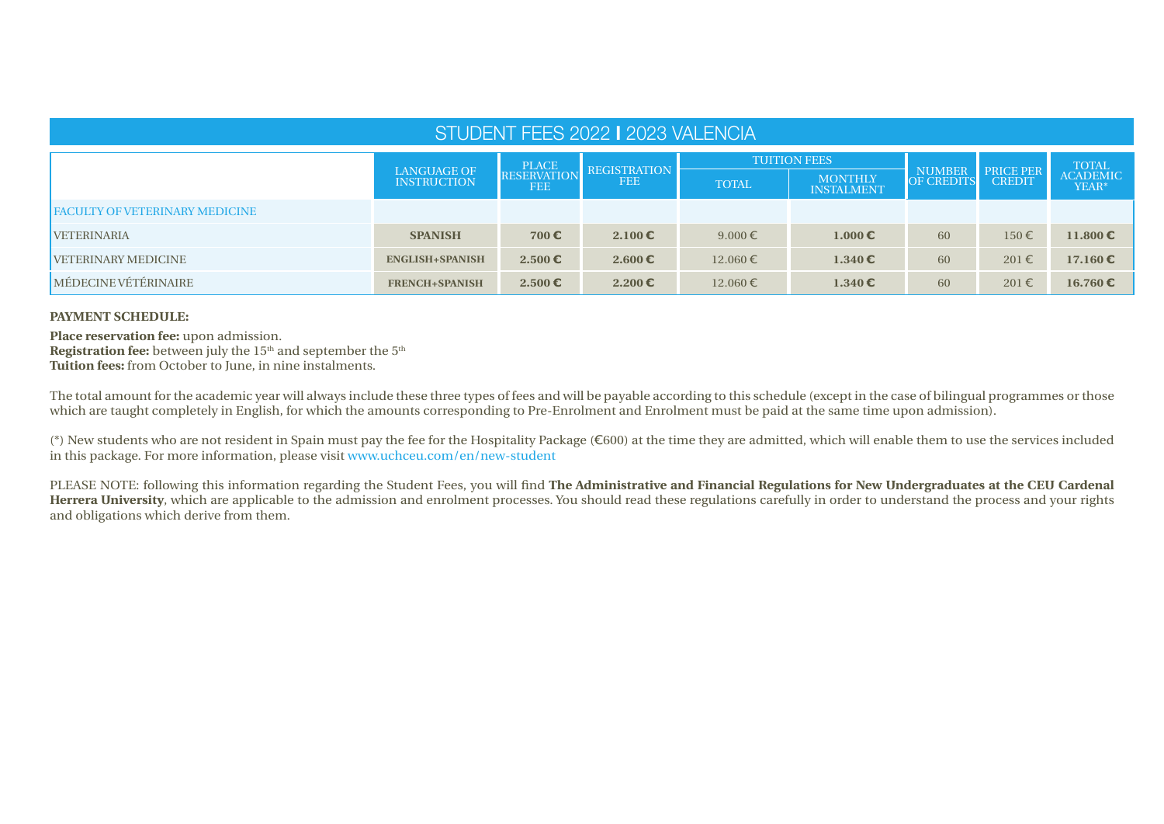| STUDENT FEES 2022   2023 VALENCIA     |                                          |                                  |                                   |                     |                                     |                                    |                                   |                            |  |  |  |
|---------------------------------------|------------------------------------------|----------------------------------|-----------------------------------|---------------------|-------------------------------------|------------------------------------|-----------------------------------|----------------------------|--|--|--|
|                                       |                                          | <b>PLACE</b>                     |                                   | <b>TUITION FEES</b> |                                     |                                    |                                   |                            |  |  |  |
|                                       | <b>LANGUAGE OF</b><br><b>INSTRUCTION</b> | <b>RESERVATION</b><br><b>FEE</b> | <b>REGISTRATION</b><br><b>FEE</b> | <b>TOTAL</b>        | <b>MONTHLY</b><br><b>INSTALMENT</b> | <b>NUMBER</b><br><b>OF CREDITS</b> | <b>PRICE PER</b><br><b>CREDIT</b> | TOTAL<br>ACADEMIC<br>YEAR* |  |  |  |
| <b>FACULTY OF VETERINARY MEDICINE</b> |                                          |                                  |                                   |                     |                                     |                                    |                                   |                            |  |  |  |
| <b>VETERINARIA</b>                    | <b>SPANISH</b>                           | 700 $\epsilon$                   | $2.100 \in$                       | $9.000 \in$         | $1.000 \in$                         | 60                                 | $150 \in$                         | 11.800 €                   |  |  |  |
| <b>VETERINARY MEDICINE</b>            | <b>ENGLISH+SPANISH</b>                   | $2.500 \in$                      | 2.600 $\epsilon$                  | $12.060 \in$        | $1.340 \, \epsilon$                 | 60                                 | $201 \in$                         | $17.160 \text{ } \in$      |  |  |  |
| MÉDECINE VÉTÉRINAIRE                  | <b>FRENCH+SPANISH</b>                    | $2.500 \in$                      | $2.200$ €                         | $12.060 \in$        | $1.340 \, \epsilon$                 | 60                                 | $201 \in$                         | 16.760 $\epsilon$          |  |  |  |

# **PAYMENT SCHEDULE:**

**Place reservation fee:** upon admission. **Registration fee:** between july the 15<sup>th</sup> and september the 5<sup>th</sup> **Tuition fees:** from October to June, in nine instalments.

The total amount for the academic year will always include these three types of fees and will be payable according to this schedule (except in the case of bilingual programmes or those which are taught completely in English, for which the amounts corresponding to Pre-Enrolment and Enrolment must be paid at the same time upon admission).

(\*) New students who are not resident in Spain must pay the fee for the Hospitality Package (€600) at the time they are admitted, which will enable them to use the services included in this package. For more information, please visit www.uchceu.com/en/new-student

PLEASE NOTE: following this information regarding the Student Fees, you will find **The Administrative and Financial Regulations for New Undergraduates at the CEU Cardenal Herrera University**, which are applicable to the admission and enrolment processes. You should read these regulations carefully in order to understand the process and your rights and obligations which derive from them.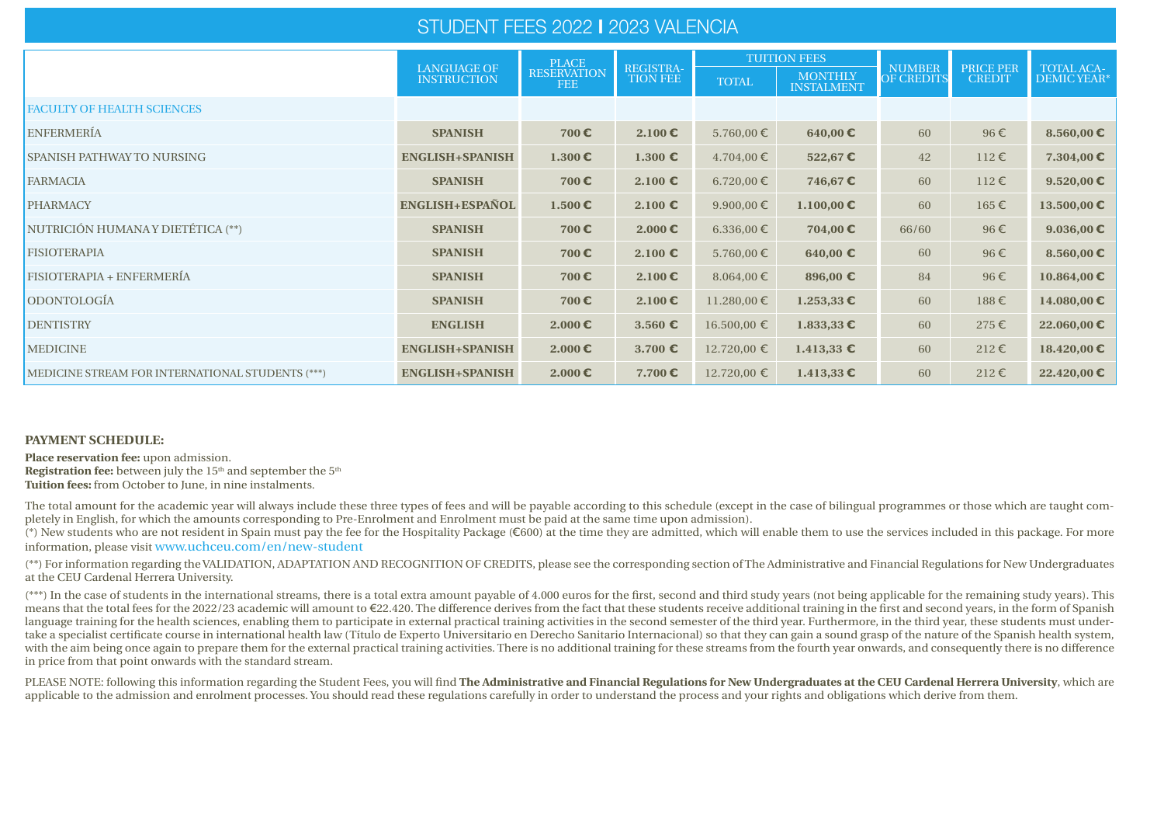# STUDENT FEES 2022 **I** 2023 VALENCIA

|                                                  |                                          | <b>PLACE</b>                     |                              |                 | <b>TUITION FEES</b>                 |                                    |                                   |                                   |
|--------------------------------------------------|------------------------------------------|----------------------------------|------------------------------|-----------------|-------------------------------------|------------------------------------|-----------------------------------|-----------------------------------|
|                                                  | <b>LANGUAGE OF</b><br><b>INSTRUCTION</b> | <b>RESERVATION</b><br><b>FEE</b> | REGISTRA-<br><b>TION FEE</b> | <b>TOTAL</b>    | <b>MONTHLY</b><br><b>INSTALMENT</b> | <b>NUMBER</b><br><b>OF CREDITS</b> | <b>PRICE PER</b><br><b>CREDIT</b> | <b>TOTAL ACA-</b><br>DEMIC YEAR*  |
| <b>FACULTY OF HEALTH SCIENCES</b>                |                                          |                                  |                              |                 |                                     |                                    |                                   |                                   |
| <b>ENFERMERÍA</b>                                | <b>SPANISH</b>                           | 700€                             | 2.100 E                      | $5.760,00 \in$  | $640,00 \in$                        | 60                                 | $96 \in$                          | 8.560,00 $\epsilon$               |
| <b>SPANISH PATHWAY TO NURSING</b>                | <b>ENGLISH+SPANISH</b>                   | $1.300 \text{ } \in$             | $1.300 \text{ } \epsilon$    | $4.704,00 \in$  | 522,67€                             | 42                                 | $112 \in$                         | 7.304,00 $\epsilon$               |
| <b>FARMACIA</b>                                  | <b>SPANISH</b>                           | 700€                             | 2.100 $\epsilon$             | $6.720,00 \in$  | 746,67€                             | 60                                 | $112 \in$                         | 9.520,00 $\epsilon$               |
| <b>PHARMACY</b>                                  | ENGLISH+ESPAÑOL                          | $1.500 \, \epsilon$              | 2.100 $\epsilon$             | 9.900,00 $\in$  | 1.100,00 €                          | 60                                 | $165 \in$                         | 13.500,00 €                       |
| NUTRICIÓN HUMANA Y DIETÉTICA (**)                | <b>SPANISH</b>                           | 700€                             | $2.000 \, \epsilon$          | 6.336,00 €      | 704,00 €                            | 66/60                              | $96 \in$                          | 9.036,00 $\epsilon$               |
| <b>FISIOTERAPIA</b>                              | <b>SPANISH</b>                           | 700€                             | $2.100 \text{ } \epsilon$    | $5.760,00 \in$  | 640,00 $\epsilon$                   | 60                                 | $96 \in$                          | 8.560,00 $\textbf{\textsterling}$ |
| FISIOTERAPIA + ENFERMERÍA                        | <b>SPANISH</b>                           | 700€                             | $2.100 \, \epsilon$          | $8.064,00 \in$  | 896,00 €                            | 84                                 | $96 \in$                          | $10.864,00$ €                     |
| ODONTOLOGÍA                                      | <b>SPANISH</b>                           | 700€                             | $2.100 \text{ } \mathbb{C}$  | $11.280,00 \in$ | $1.253,33$ €                        | 60                                 | $188 \in$                         | 14.080,00 €                       |
| <b>DENTISTRY</b>                                 | <b>ENGLISH</b>                           | $2.000 \, \epsilon$              | 3.560 $\epsilon$             | $16.500,00 \in$ | $1.833,33$ €                        | 60                                 | $275 \in$                         | 22.060,00 €                       |
| <b>MEDICINE</b>                                  | <b>ENGLISH+SPANISH</b>                   | $2.000 \, \epsilon$              | 3.700 $\epsilon$             | 12.720,00 €     | 1.413,33 €                          | 60                                 | $212 \in$                         | $18.420,00$ €                     |
| MEDICINE STREAM FOR INTERNATIONAL STUDENTS (***) | <b>ENGLISH+SPANISH</b>                   | $2.000 \, \epsilon$              | 7.700 $\epsilon$             | $12.720,00 \in$ | $1.413,33$ €                        | 60                                 | $212 \in$                         | 22.420,00 €                       |

#### **PAYMENT SCHEDULE:**

**Place reservation fee:** upon admission. **Registration fee:** between july the 15<sup>th</sup> and september the 5<sup>th</sup> **Tuition fees:** from October to June, in nine instalments.

The total amount for the academic year will always include these three types of fees and will be payable according to this schedule (except in the case of bilingual programmes or those which are taught completely in English, for which the amounts corresponding to Pre-Enrolment and Enrolment must be paid at the same time upon admission).

(\*) New students who are not resident in Spain must pay the fee for the Hospitality Package (€600) at the time they are admitted, which will enable them to use the services included in this package. For more information, please visit www.uchceu.com/en/new-student

(\*\*) For information regarding the VALIDATION, ADAPTATION AND RECOGNITION OF CREDITS, please see the corresponding section of The Administrative and Financial Regulations for New Undergraduates at the CEU Cardenal Herrera University.

(\*\*\*) In the case of students in the international streams, there is a total extra amount payable of 4.000 euros for the first, second and third study years (not being applicable for the remaining study years). This means that the total fees for the 2022/23 academic will amount to €22.420. The difference derives from the fact that these students receive additional training in the first and second years, in the form of Spanish language training for the health sciences, enabling them to participate in external practical training activities in the second semester of the third year. Furthermore, in the third year, these students must undertake a specialist certificate course in international health law (Título de Experto Universitario en Derecho Sanitario Internacional) so that they can gain a sound grasp of the nature of the Spanish health system, with the aim being once again to prepare them for the external practical training activities. There is no additional training for these streams from the fourth year onwards, and consequently there is no difference in price from that point onwards with the standard stream.

PLEASE NOTE: following this information regarding the Student Fees, you will find **The Administrative and Financial Regulations for New Undergraduates at the CEU Cardenal Herrera University, which are** applicable to the admission and enrolment processes. You should read these regulations carefully in order to understand the process and your rights and obligations which derive from them.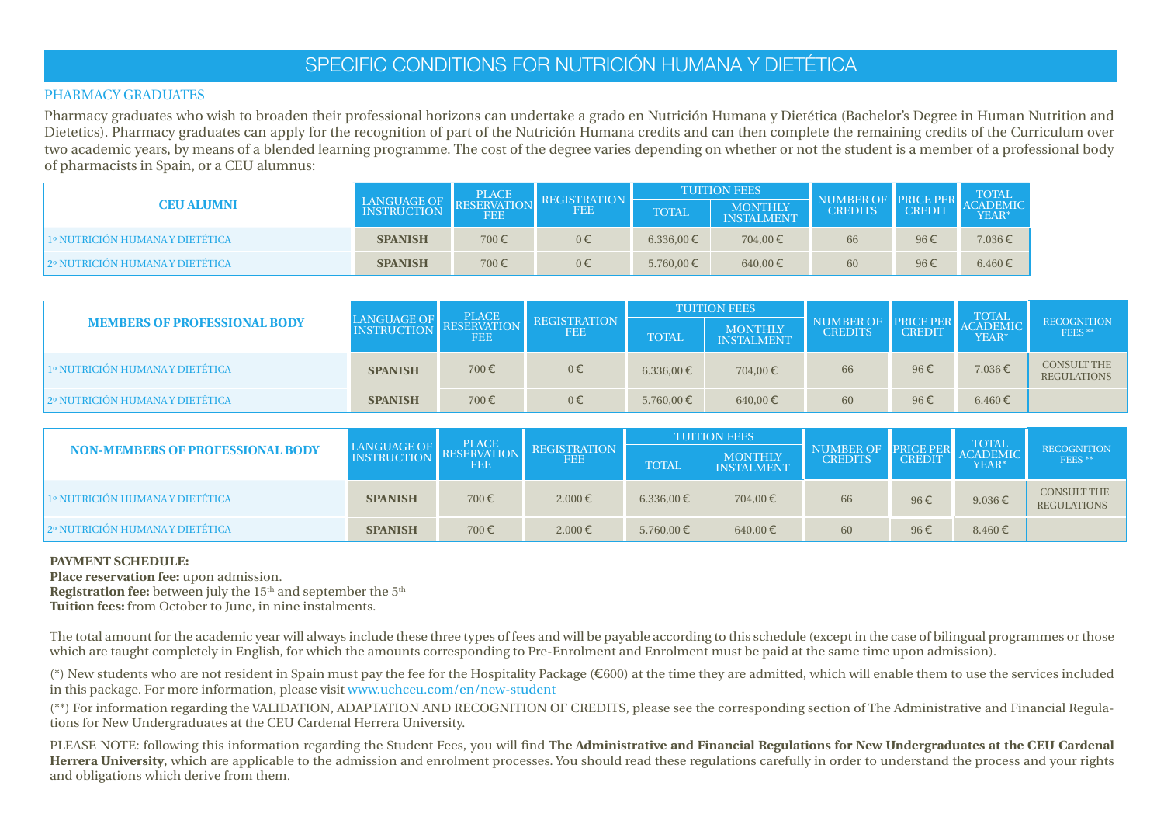# SPECIFIC CONDITIONS FOR NUTRICIÓN HUMANA Y DIETÉTICA

### l PHARMACY GRADUATES

Pharmacy graduates who wish to broaden their professional horizons can undertake a grado en Nutrición Humana y Dietética (Bachelor's Degree in Human Nutrition and Dietetics). Pharmacy graduates can apply for the recognition of part of the Nutrición Humana credits and can then complete the remaining credits of the Curriculum over two academic years, by means of a blended learning programme. The cost of the degree varies depending on whether or not the student is a member of a professional body of pharmacists in Spain, or a CEU alumnus:

|                                    |                         |                   |                                   |              | <b>TUITION FEES</b>   |                             |                  | <b>TOTAL</b>             |
|------------------------------------|-------------------------|-------------------|-----------------------------------|--------------|-----------------------|-----------------------------|------------------|--------------------------|
| <b>CEU ALUMNI</b>                  | LANGUAGE OF INSTRUCTION | PLACE RESERVATION | <b>REGISTRATION</b><br><b>FEE</b> | <b>TOTAL</b> | MONTHLY<br>INSTALMENT | NUMBER OF<br><b>CREDITS</b> | PRICE PER CREDIT | <b>ACADEMIC</b><br>YEAR* |
| 41º NUTRICIÓN HUMANA Y DIETÉTICA / | <b>SPANISH</b>          | 700€              | $0 \in$                           | 6.336,00 €   | 704.00€               | 66                          | 96€              | 7.036€                   |
| 2º NUTRICIÓN HUMANA Y DIETÉTICA    | <b>SPANISH</b>          | 700€              | $0 \in$                           | 5.760,00 €   | 640,00 €              | 60                          | 96€              | 6.460€                   |

|                                     |                                                     | <b>PLACE</b> |            |              | <b>TUITION FEES</b>   |                             |                                   | <b>TOTAL</b>      |                                          |
|-------------------------------------|-----------------------------------------------------|--------------|------------|--------------|-----------------------|-----------------------------|-----------------------------------|-------------------|------------------------------------------|
| <b>MEMBERS OF PROFESSIONAL BODY</b> | LANGUAGE OF <b>ELACE</b><br>INSTRUCTION RESERVATION | <b>FEE</b>   | <b>FEE</b> | <b>TOTAL</b> | MONTHLY<br>INSTALMENT | NUMBER OF<br><b>CREDITS</b> | <b>PRICE PER</b><br><b>CREDIT</b> | ACADEMIC<br>YEAR* | <b>RECOGNITION</b><br>FEES <sup>**</sup> |
| 1º NUTRICIÓN HUMANA Y DIETÉTICA     | <b>SPANISH</b>                                      | 700€         | $0 \in$    | 6.336,00 €   | 704,00€               | 66                          | 96€                               | 7.036€            | <b>CONSULT THE</b><br><b>REGULATIONS</b> |
| 2º NUTRICIÓN HUMANA Y DIETÉTICA     | <b>SPANISH</b>                                      | 700€         | 0€         | 5.760,00 €   | 640,00 €              | 60                          | 96€                               | $6.460 \in$       |                                          |

|                                         |                                              | <b>PLACE</b> |                            |              | <b>TUITION FEES</b>   |                                    |                                   | <b>TOTAL</b>             |                                              |
|-----------------------------------------|----------------------------------------------|--------------|----------------------------|--------------|-----------------------|------------------------------------|-----------------------------------|--------------------------|----------------------------------------------|
| <b>NON-MEMBERS OF PROFESSIONAL BODY</b> | LANGUAGE OF PLACE<br>INSTRUCTION RESERVATION | FEE          | REGISTRATION<br><b>FEE</b> | <b>TOTAL</b> | MONTHLY<br>INSTALMENT | <b>NUMBER OF</b><br><b>CREDITS</b> | <b>PRICE PER</b><br><b>CREDIT</b> | <b>ACADEMIC</b><br>YEAR* | <b>RECOGNITION</b><br>FEES <sup>**</sup>     |
| 1º NUTRICIÓN HUMANA Y DIETÉTICA         | <b>SPANISH</b>                               | 700€         | $2.000 \in$                | 6.336,00 €   | 704,00€               | 66                                 | 96€                               | $9.036 \in$              | <b>CONSULT THE</b><br>REGULATIONS $\epsilon$ |
| 2º NUTRICIÓN HUMANA Y DIETÉTICA         | <b>SPANISH</b>                               | 700€         | $2.000 \in$                | 5.760,00 €   | 640,00€               | 60                                 | 96€                               | $8.460 \in$              |                                              |

# **PAYMENT SCHEDULE:**

**Place reservation fee:** upon admission.

**Registration fee:** between july the 15<sup>th</sup> and september the 5<sup>th</sup>

**Tuition fees:** from October to June, in nine instalments.

The total amount for the academic year will always include these three types of fees and will be payable according to this schedule (except in the case of bilingual programmes or those which are taught completely in English, for which the amounts corresponding to Pre-Enrolment and Enrolment must be paid at the same time upon admission).

(\*) New students who are not resident in Spain must pay the fee for the Hospitality Package (€600) at the time they are admitted, which will enable them to use the services included in this package. For more information, please visit www.uchceu.com/en/new-student

(\*\*) For information regarding the VALIDATION, ADAPTATION AND RECOGNITION OF CREDITS, please see the corresponding section of The Administrative and Financial Regulations for New Undergraduates at the CEU Cardenal Herrera University.

PLEASE NOTE: following this information regarding the Student Fees, you will find **The Administrative and Financial Regulations for New Undergraduates at the CEU Cardenal Herrera University**, which are applicable to the admission and enrolment processes. You should read these regulations carefully in order to understand the process and your rights and obligations which derive from them.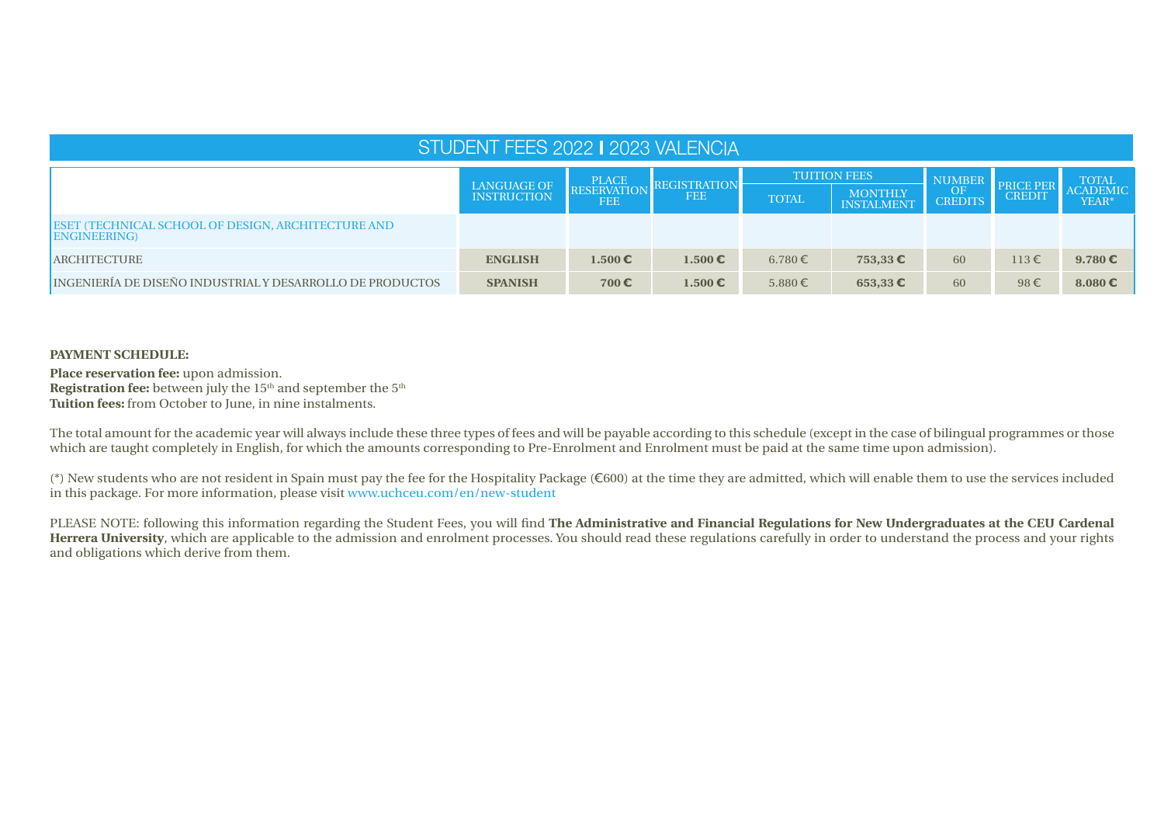| STUDENT FEES 2022   2023 VALENCIA                                        |                                                                                                                                                                                     |             |                  |         |                     |    |                            |                                          |  |  |  |
|--------------------------------------------------------------------------|-------------------------------------------------------------------------------------------------------------------------------------------------------------------------------------|-------------|------------------|---------|---------------------|----|----------------------------|------------------------------------------|--|--|--|
|                                                                          | <b>TUITION FEES</b><br><b>PLACE</b><br>RESERVATION<br><b>REGISTRATION</b><br>LANGUAGE OF<br>MONTHLY<br>INSTALMENT<br><b>FEE</b><br><b>INSTRUCTION</b><br><b>TOTAL</b><br><b>FEE</b> |             |                  |         |                     |    | PRICE PER<br><b>CREDIT</b> | <b>TOTAL</b><br><b>ACADEMIC</b><br>YEAR* |  |  |  |
| ESET (TECHNICAL SCHOOL OF DESIGN, ARCHITECTURE AND<br><b>ENGINEERING</b> |                                                                                                                                                                                     |             |                  |         |                     |    |                            |                                          |  |  |  |
| <b>ARCHITECTURE</b>                                                      | <b>ENGLISH</b>                                                                                                                                                                      | $1.500 \in$ | $1.500 \in$      | 6.780 € | $753,33$ $\epsilon$ | 60 | $113 \in$                  | $9.780 \in$                              |  |  |  |
| INGENIERÍA DE DISEÑO INDUSTRIAL Y DESARROLLO DE PRODUCTOS                | <b>SPANISH</b>                                                                                                                                                                      | 700€        | 1.500 $\epsilon$ | 5.880€  | $653,33 \in$        | 60 | 98€                        | 8.080 $\epsilon$                         |  |  |  |

# **PAYMENT SCHEDULE:**

**Place reservation fee:** upon admission. **Registration fee:** between july the 15<sup>th</sup> and september the 5<sup>th</sup> **Tuition fees:** from October to June, in nine instalments.

The total amount for the academic year will always include these three types of fees and will be payable according to this schedule (except in the case of bilingual programmes or those which are taught completely in English, for which the amounts corresponding to Pre-Enrolment and Enrolment must be paid at the same time upon admission).

(\*) New students who are not resident in Spain must pay the fee for the Hospitality Package (€600) at the time they are admitted, which will enable them to use the services included in this package. For more information, please visit www.uchceu.com/en/new-student

PLEASE NOTE: following this information regarding the Student Fees, you will find **The Administrative and Financial Regulations for New Undergraduates at the CEU Cardenal Herrera University**, which are applicable to the admission and enrolment processes. You should read these regulations carefully in order to understand the process and your rights and obligations which derive from them.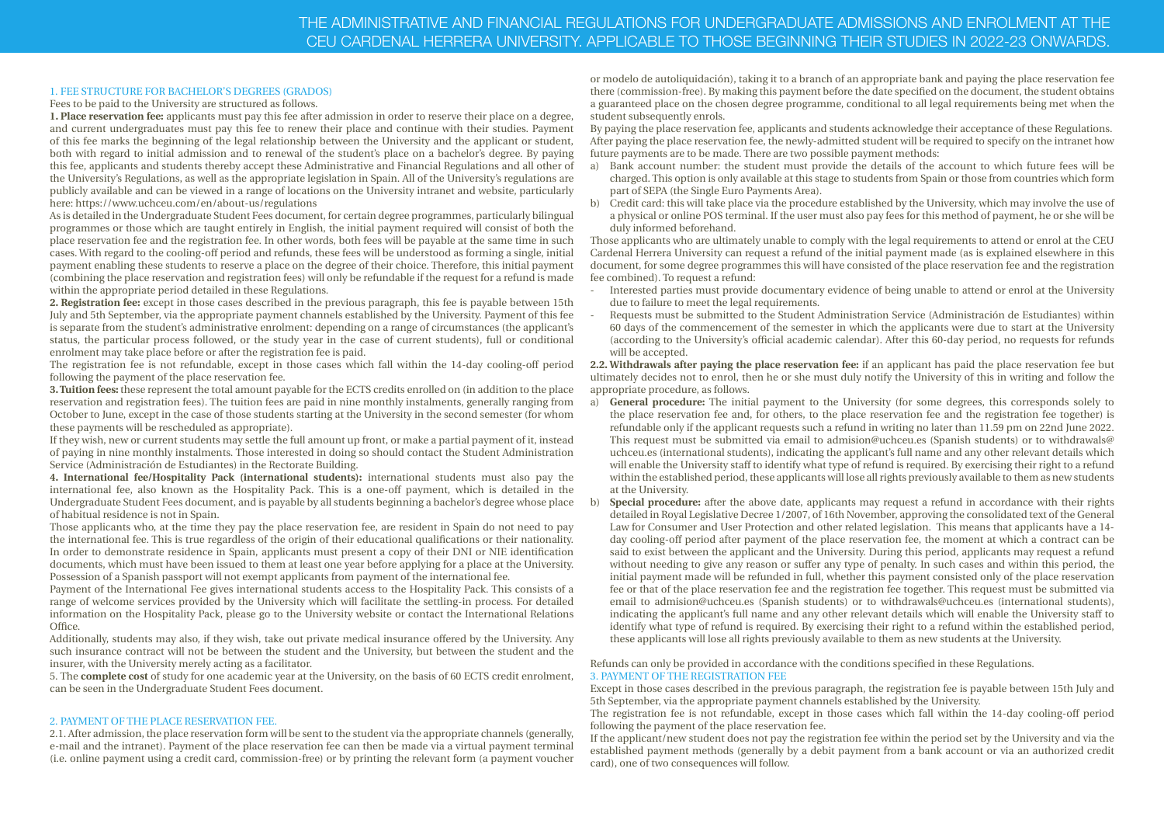# THE ADMINISTRATIVE AND FINANCIAL REGULATIONS FOR UNDERGRADUATE ADMISSIONS AND ENROLMENT AT THE CEU CARDENAL HERRERA UNIVERSITY. APPLICABLE TO THOSE BEGINNING THEIR STUDIES IN 2022-23 ONWARDS.

#### 1. FEE STRUCTURE FOR BACHELOR'S DEGREES (GRADOS)

Fees to be paid to the University are structured as follows.

**1. Place reservation fee:** applicants must pay this fee after admission in order to reserve their place on a degree, and current undergraduates must pay this fee to renew their place and continue with their studies. Payment of this fee marks the beginning of the legal relationship between the University and the applicant or student, both with regard to initial admission and to renewal of the student's place on a bachelor's degree. By paying this fee, applicants and students thereby accept these Administrative and Financial Regulations and all other of the University's Regulations, as well as the appropriate legislation in Spain. All of the University's regulations are publicly available and can be viewed in a range of locations on the University intranet and website, particularly here: https://www.uchceu.com/en/about-us/regulations

As is detailed in the Undergraduate Student Fees document, for certain degree programmes, particularly bilingual programmes or those which are taught entirely in English, the initial payment required will consist of both the place reservation fee and the registration fee. In other words, both fees will be payable at the same time in such cases. With regard to the cooling-off period and refunds, these fees will be understood as forming a single, initial payment enabling these students to reserve a place on the degree of their choice. Therefore, this initial payment (combining the place reservation and registration fees) will only be refundable if the request for a refund is made within the appropriate period detailed in these Regulations.

**2. Registration fee:** except in those cases described in the previous paragraph, this fee is payable between 15th July and 5th September, via the appropriate payment channels established by the University. Payment of this fee is separate from the student's administrative enrolment: depending on a range of circumstances (the applicant's status, the particular process followed, or the study year in the case of current students), full or conditional enrolment may take place before or after the registration fee is paid.

The registration fee is not refundable, except in those cases which fall within the 14-day cooling-off period following the payment of the place reservation fee.

**3. Tuition fees:** these represent the total amount payable for the ECTS credits enrolled on (in addition to the place reservation and registration fees). The tuition fees are paid in nine monthly instalments, generally ranging from October to June, except in the case of those students starting at the University in the second semester (for whom these payments will be rescheduled as appropriate).

If they wish, new or current students may settle the full amount up front, or make a partial payment of it, instead of paying in nine monthly instalments. Those interested in doing so should contact the Student Administration Service (Administración de Estudiantes) in the Rectorate Building.

**4. International fee/Hospitality Pack (international students):** international students must also pay the international fee, also known as the Hospitality Pack. This is a one-off payment, which is detailed in the Undergraduate Student Fees document, and is payable by all students beginning a bachelor's degree whose place of habitual residence is not in Spain.

Those applicants who, at the time they pay the place reservation fee, are resident in Spain do not need to pay the international fee. This is true regardless of the origin of their educational qualifications or their nationality. In order to demonstrate residence in Spain, applicants must present a copy of their DNI or NIE identification documents, which must have been issued to them at least one year before applying for a place at the University. Possession of a Spanish passport will not exempt applicants from payment of the international fee.

Payment of the International Fee gives international students access to the Hospitality Pack. This consists of a range of welcome services provided by the University which will facilitate the settling-in process. For detailed information on the Hospitality Pack, please go to the University website or contact the International Relations Office.

Additionally, students may also, if they wish, take out private medical insurance offered by the University. Any such insurance contract will not be between the student and the University, but between the student and the insurer, with the University merely acting as a facilitator.

5. The **complete cost** of study for one academic year at the University, on the basis of 60 ECTS credit enrolment, can be seen in the Undergraduate Student Fees document.

#### 2. PAYMENT OF THE PLACE RESERVATION FEE.

2.1. After admission, the place reservation form will be sent to the student via the appropriate channels (generally, e-mail and the intranet). Payment of the place reservation fee can then be made via a virtual payment terminal (i.e. online payment using a credit card, commission-free) or by printing the relevant form (a payment voucher or modelo de autoliquidación), taking it to a branch of an appropriate bank and paying the place reservation fee there (commission-free). By making this payment before the date specified on the document, the student obtains a guaranteed place on the chosen degree programme, conditional to all legal requirements being met when the student subsequently enrols.

By paying the place reservation fee, applicants and students acknowledge their acceptance of these Regulations. After paying the place reservation fee, the newly-admitted student will be required to specify on the intranet how future payments are to be made. There are two possible payment methods:

- a) Bank account number: the student must provide the details of the account to which future fees will be charged. This option is only available at this stage to students from Spain or those from countries which form part of SEPA (the Single Euro Payments Area).
- b) Credit card: this will take place via the procedure established by the University, which may involve the use of a physical or online POS terminal. If the user must also pay fees for this method of payment, he or she will be duly informed beforehand.

Those applicants who are ultimately unable to comply with the legal requirements to attend or enrol at the CEU Cardenal Herrera University can request a refund of the initial payment made (as is explained elsewhere in this document, for some degree programmes this will have consisted of the place reservation fee and the registration fee combined). To request a refund:

- Interested parties must provide documentary evidence of being unable to attend or enrol at the University due to failure to meet the legal requirements.
- Requests must be submitted to the Student Administration Service (Administración de Estudiantes) within 60 days of the commencement of the semester in which the applicants were due to start at the University (according to the University's official academic calendar). After this 60-day period, no requests for refunds will be accepted.

**2.2. Withdrawals after paying the place reservation fee:** if an applicant has paid the place reservation fee but ultimately decides not to enrol, then he or she must duly notify the University of this in writing and follow the appropriate procedure, as follows.

- a) **General procedure:** The initial payment to the University (for some degrees, this corresponds solely to the place reservation fee and, for others, to the place reservation fee and the registration fee together) is refundable only if the applicant requests such a refund in writing no later than 11.59 pm on 22nd June 2022. This request must be submitted via email to admision@uchceu.es (Spanish students) or to withdrawals@ uchceu.es (international students), indicating the applicant's full name and any other relevant details which will enable the University staff to identify what type of refund is required. By exercising their right to a refund within the established period, these applicants will lose all rights previously available to them as new students at the University.
- b) **Special procedure:** after the above date, applicants may request a refund in accordance with their rights detailed in Royal Legislative Decree 1/2007, of 16th November, approving the consolidated text of the General Law for Consumer and User Protection and other related legislation. This means that applicants have a 14 day cooling-off period after payment of the place reservation fee, the moment at which a contract can be said to exist between the applicant and the University. During this period, applicants may request a refund without needing to give any reason or suffer any type of penalty. In such cases and within this period, the initial payment made will be refunded in full, whether this payment consisted only of the place reservation fee or that of the place reservation fee and the registration fee together. This request must be submitted via email to admision@uchceu.es (Spanish students) or to withdrawals@uchceu.es (international students), indicating the applicant's full name and any other relevant details which will enable the University staff to identify what type of refund is required. By exercising their right to a refund within the established period, these applicants will lose all rights previously available to them as new students at the University.

Refunds can only be provided in accordance with the conditions specified in these Regulations. 3. PAYMENT OF THE REGISTRATION FEE

Except in those cases described in the previous paragraph, the registration fee is payable between 15th July and 5th September, via the appropriate payment channels established by the University.

The registration fee is not refundable, except in those cases which fall within the 14-day cooling-off period following the payment of the place reservation fee.

If the applicant/new student does not pay the registration fee within the period set by the University and via the established payment methods (generally by a debit payment from a bank account or via an authorized credit card), one of two consequences will follow.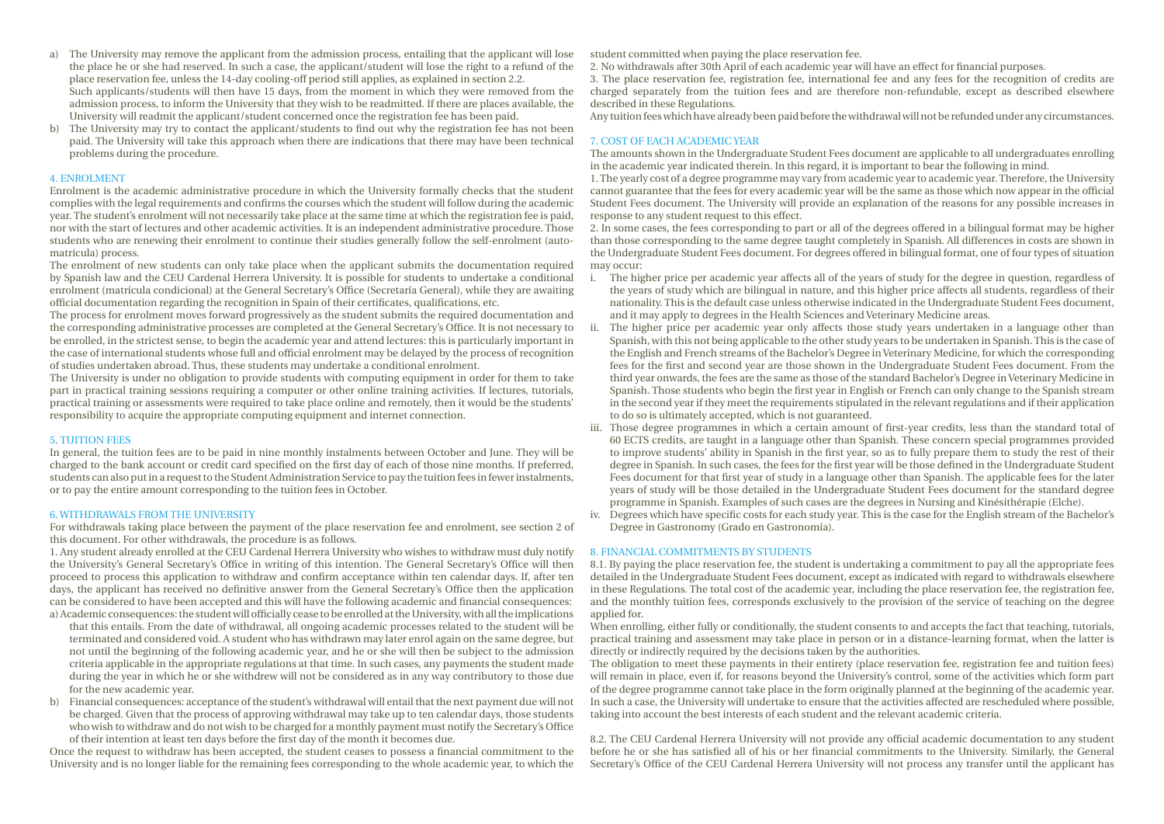a) The University may remove the applicant from the admission process, entailing that the applicant will lose the place he or she had reserved. In such a case, the applicant/student will lose the right to a refund of the place reservation fee, unless the 14-day cooling-off period still applies, as explained in section 2.2.

Such applicants/students will then have 15 days, from the moment in which they were removed from the admission process, to inform the University that they wish to be readmitted. If there are places available, the University will readmit the applicant/student concerned once the registration fee has been paid.

b) The University may try to contact the applicant/students to find out why the registration fee has not been paid. The University will take this approach when there are indications that there may have been technical problems during the procedure.

#### 4. ENROLMENT

Enrolment is the academic administrative procedure in which the University formally checks that the student complies with the legal requirements and confirms the courses which the student will follow during the academic year. The student's enrolment will not necessarily take place at the same time at which the registration fee is paid, nor with the start of lectures and other academic activities. It is an independent administrative procedure. Those students who are renewing their enrolment to continue their studies generally follow the self-enrolment (automatrícula) process.

The enrolment of new students can only take place when the applicant submits the documentation required by Spanish law and the CEU Cardenal Herrera University. It is possible for students to undertake a conditional enrolment (matrícula condicional) at the General Secretary's Office (Secretaría General), while they are awaiting official documentation regarding the recognition in Spain of their certificates, qualifications, etc.

The process for enrolment moves forward progressively as the student submits the required documentation and the corresponding administrative processes are completed at the General Secretary's Office. It is not necessary to be enrolled, in the strictest sense, to begin the academic year and attend lectures: this is particularly important in the case of international students whose full and official enrolment may be delayed by the process of recognition of studies undertaken abroad. Thus, these students may undertake a conditional enrolment.

The University is under no obligation to provide students with computing equipment in order for them to take part in practical training sessions requiring a computer or other online training activities. If lectures, tutorials, practical training or assessments were required to take place online and remotely, then it would be the students' responsibility to acquire the appropriate computing equipment and internet connection.

#### 5. TUITION FEES

In general, the tuition fees are to be paid in nine monthly instalments between October and June. They will be charged to the bank account or credit card specified on the first day of each of those nine months. If preferred, students can also put in a request to the Student Administration Service to pay the tuition fees in fewer instalments, or to pay the entire amount corresponding to the tuition fees in October.

#### 6. WITHDRAWALS FROM THE UNIVERSITY

For withdrawals taking place between the payment of the place reservation fee and enrolment, see section 2 of this document. For other withdrawals, the procedure is as follows.

1. Any student already enrolled at the CEU Cardenal Herrera University who wishes to withdraw must duly notify the University's General Secretary's Office in writing of this intention. The General Secretary's Office will then proceed to process this application to withdraw and confirm acceptance within ten calendar days. If, after ten days, the applicant has received no definitive answer from the General Secretary's Office then the application can be considered to have been accepted and this will have the following academic and financial consequences: a) Academic consequences: the student will officially cease to be enrolled at the University, with all the implications

- that this entails. From the date of withdrawal, all ongoing academic processes related to the student will be terminated and considered void. A student who has withdrawn may later enrol again on the same degree, but not until the beginning of the following academic year, and he or she will then be subject to the admission criteria applicable in the appropriate regulations at that time. In such cases, any payments the student made during the year in which he or she withdrew will not be considered as in any way contributory to those due for the new academic year.
- b) Financial consequences: acceptance of the student's withdrawal will entail that the next payment due will not be charged. Given that the process of approving withdrawal may take up to ten calendar days, those students who wish to withdraw and do not wish to be charged for a monthly payment must notify the Secretary's Office of their intention at least ten days before the first day of the month it becomes due.

Once the request to withdraw has been accepted, the student ceases to possess a financial commitment to the University and is no longer liable for the remaining fees corresponding to the whole academic year, to which the student committed when paying the place reservation fee.

2. No withdrawals after 30th April of each academic year will have an effect for financial purposes.

3. The place reservation fee, registration fee, international fee and any fees for the recognition of credits are charged separately from the tuition fees and are therefore non-refundable, except as described elsewhere described in these Regulations.

Any tuition fees which have already been paid before the withdrawal will not be refunded under any circumstances.

#### 7. COST OF EACH ACADEMIC YEAR

The amounts shown in the Undergraduate Student Fees document are applicable to all undergraduates enrolling in the academic year indicated therein. In this regard, it is important to bear the following in mind.

1. The yearly cost of a degree programme may vary from academic year to academic year. Therefore, the University cannot guarantee that the fees for every academic year will be the same as those which now appear in the official Student Fees document. The University will provide an explanation of the reasons for any possible increases in response to any student request to this effect.

2. In some cases, the fees corresponding to part or all of the degrees offered in a bilingual format may be higher than those corresponding to the same degree taught completely in Spanish. All differences in costs are shown in the Undergraduate Student Fees document. For degrees offered in bilingual format, one of four types of situation may occur:

- i. The higher price per academic year affects all of the years of study for the degree in question, regardless of the years of study which are bilingual in nature, and this higher price affects all students, regardless of their nationality. This is the default case unless otherwise indicated in the Undergraduate Student Fees document, and it may apply to degrees in the Health Sciences and Veterinary Medicine areas.
- The higher price per academic year only affects those study years undertaken in a language other than Spanish, with this not being applicable to the other study years to be undertaken in Spanish. This is the case of the English and French streams of the Bachelor's Degree in Veterinary Medicine, for which the corresponding fees for the first and second year are those shown in the Undergraduate Student Fees document. From the third year onwards, the fees are the same as those of the standard Bachelor's Degree in Veterinary Medicine in Spanish. Those students who begin the first year in English or French can only change to the Spanish stream in the second year if they meet the requirements stipulated in the relevant regulations and if their application to do so is ultimately accepted, which is not guaranteed.
- iii. Those degree programmes in which a certain amount of first-year credits, less than the standard total of 60 ECTS credits, are taught in a language other than Spanish. These concern special programmes provided to improve students' ability in Spanish in the first year, so as to fully prepare them to study the rest of their degree in Spanish. In such cases, the fees for the first year will be those defined in the Undergraduate Student Fees document for that first year of study in a language other than Spanish. The applicable fees for the later years of study will be those detailed in the Undergraduate Student Fees document for the standard degree programme in Spanish. Examples of such cases are the degrees in Nursing and Kinésithérapie (Elche).
- iv. Degrees which have specific costs for each study year. This is the case for the English stream of the Bachelor's Degree in Gastronomy (Grado en Gastronomía).

#### 8. FINANCIAL COMMITMENTS BY STUDENTS

8.1. By paying the place reservation fee, the student is undertaking a commitment to pay all the appropriate fees detailed in the Undergraduate Student Fees document, except as indicated with regard to withdrawals elsewhere in these Regulations. The total cost of the academic year, including the place reservation fee, the registration fee, and the monthly tuition fees, corresponds exclusively to the provision of the service of teaching on the degree applied for.

When enrolling, either fully or conditionally, the student consents to and accepts the fact that teaching, tutorials, practical training and assessment may take place in person or in a distance-learning format, when the latter is directly or indirectly required by the decisions taken by the authorities.

The obligation to meet these payments in their entirety (place reservation fee, registration fee and tuition fees) will remain in place, even if, for reasons beyond the University's control, some of the activities which form part of the degree programme cannot take place in the form originally planned at the beginning of the academic year. In such a case, the University will undertake to ensure that the activities affected are rescheduled where possible, taking into account the best interests of each student and the relevant academic criteria.

8.2. The CEU Cardenal Herrera University will not provide any official academic documentation to any student before he or she has satisfied all of his or her financial commitments to the University. Similarly, the General Secretary's Office of the CEU Cardenal Herrera University will not process any transfer until the applicant has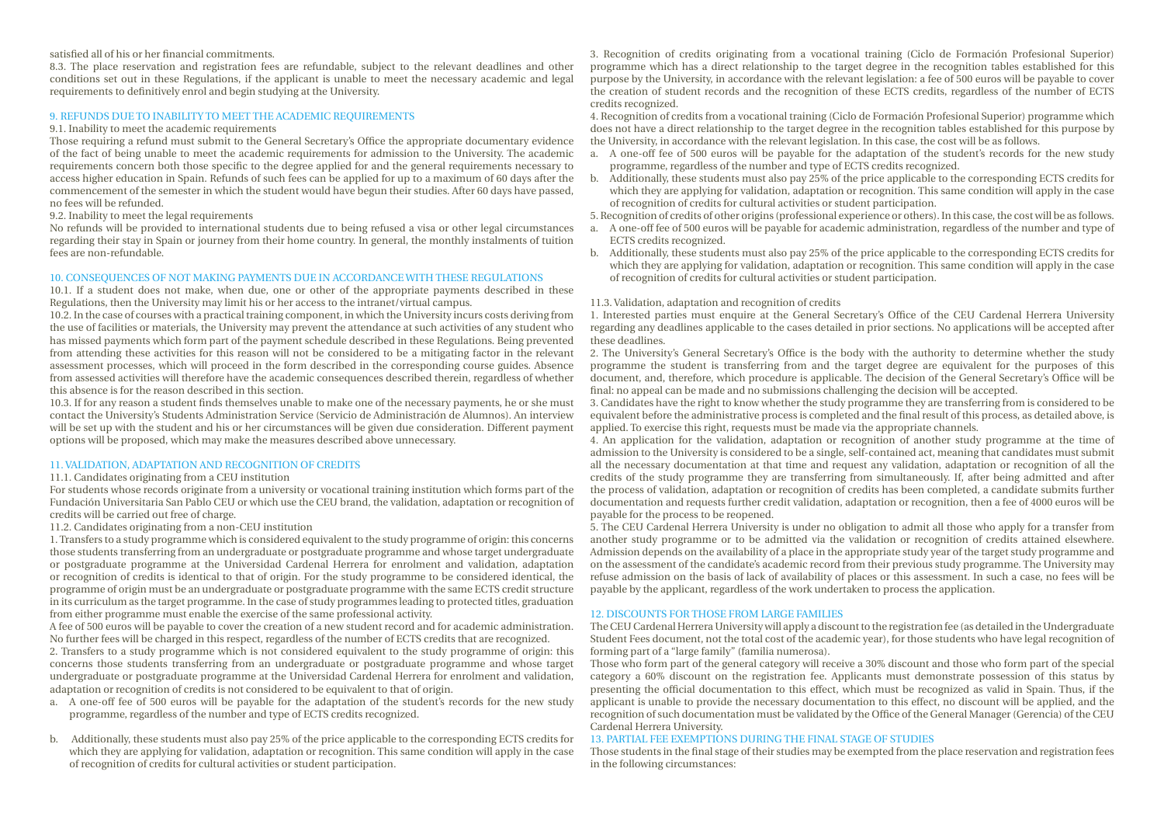#### satisfied all of his or her financial commitments.

8.3. The place reservation and registration fees are refundable, subject to the relevant deadlines and other conditions set out in these Regulations, if the applicant is unable to meet the necessary academic and legal requirements to definitively enrol and begin studying at the University.

#### 9. REFUNDS DUE TO INABILITY TO MEET THE ACADEMIC REQUIREMENTS

#### 9.1. Inability to meet the academic requirements

Those requiring a refund must submit to the General Secretary's Office the appropriate documentary evidence of the fact of being unable to meet the academic requirements for admission to the University. The academic requirements concern both those specific to the degree applied for and the general requirements necessary to access higher education in Spain. Refunds of such fees can be applied for up to a maximum of 60 days after the commencement of the semester in which the student would have begun their studies. After 60 days have passed, no fees will be refunded.

9.2. Inability to meet the legal requirements

No refunds will be provided to international students due to being refused a visa or other legal circumstances regarding their stay in Spain or journey from their home country. In general, the monthly instalments of tuition fees are non-refundable.

#### 10. CONSEQUENCES OF NOT MAKING PAYMENTS DUE IN ACCORDANCE WITH THESE REGULATIONS

10.1. If a student does not make, when due, one or other of the appropriate payments described in these Regulations, then the University may limit his or her access to the intranet/virtual campus.

10.2. In the case of courses with a practical training component, in which the University incurs costs deriving from the use of facilities or materials, the University may prevent the attendance at such activities of any student who has missed payments which form part of the payment schedule described in these Regulations. Being prevented from attending these activities for this reason will not be considered to be a mitigating factor in the relevant assessment processes, which will proceed in the form described in the corresponding course guides. Absence from assessed activities will therefore have the academic consequences described therein, regardless of whether this absence is for the reason described in this section.

10.3. If for any reason a student finds themselves unable to make one of the necessary payments, he or she must contact the University's Students Administration Service (Servicio de Administración de Alumnos). An interview will be set up with the student and his or her circumstances will be given due consideration. Different payment options will be proposed, which may make the measures described above unnecessary.

#### 11. VALIDATION, ADAPTATION AND RECOGNITION OF CREDITS

#### 11.1. Candidates originating from a CEU institution

For students whose records originate from a university or vocational training institution which forms part of the Fundación Universitaria San Pablo CEU or which use the CEU brand, the validation, adaptation or recognition of credits will be carried out free of charge.

11.2. Candidates originating from a non-CEU institution

1. Transfers to a study programme which is considered equivalent to the study programme of origin: this concerns those students transferring from an undergraduate or postgraduate programme and whose target undergraduate or postgraduate programme at the Universidad Cardenal Herrera for enrolment and validation, adaptation or recognition of credits is identical to that of origin. For the study programme to be considered identical, the programme of origin must be an undergraduate or postgraduate programme with the same ECTS credit structure in its curriculum as the target programme. In the case of study programmes leading to protected titles, graduation from either programme must enable the exercise of the same professional activity.

A fee of 500 euros will be payable to cover the creation of a new student record and for academic administration. No further fees will be charged in this respect, regardless of the number of ECTS credits that are recognized.

2. Transfers to a study programme which is not considered equivalent to the study programme of origin: this concerns those students transferring from an undergraduate or postgraduate programme and whose target undergraduate or postgraduate programme at the Universidad Cardenal Herrera for enrolment and validation, adaptation or recognition of credits is not considered to be equivalent to that of origin.

- a. A one-off fee of 500 euros will be payable for the adaptation of the student's records for the new study programme, regardless of the number and type of ECTS credits recognized.
- b. Additionally, these students must also pay 25% of the price applicable to the corresponding ECTS credits for which they are applying for validation, adaptation or recognition. This same condition will apply in the case of recognition of credits for cultural activities or student participation.

3. Recognition of credits originating from a vocational training (Ciclo de Formación Profesional Superior) programme which has a direct relationship to the target degree in the recognition tables established for this purpose by the University, in accordance with the relevant legislation: a fee of 500 euros will be payable to cover the creation of student records and the recognition of these ECTS credits, regardless of the number of ECTS credits recognized.

4. Recognition of credits from a vocational training (Ciclo de Formación Profesional Superior) programme which does not have a direct relationship to the target degree in the recognition tables established for this purpose by the University, in accordance with the relevant legislation. In this case, the cost will be as follows.

- a. A one-off fee of 500 euros will be payable for the adaptation of the student's records for the new study programme, regardless of the number and type of ECTS credits recognized.
- b. Additionally, these students must also pay 25% of the price applicable to the corresponding ECTS credits for which they are applying for validation, adaptation or recognition. This same condition will apply in the case of recognition of credits for cultural activities or student participation.
- 5. Recognition of credits of other origins (professional experience or others). In this case, the cost will be as follows.
- a. A one-off fee of 500 euros will be payable for academic administration, regardless of the number and type of ECTS credits recognized.
- b. Additionally, these students must also pay 25% of the price applicable to the corresponding ECTS credits for which they are applying for validation, adaptation or recognition. This same condition will apply in the case of recognition of credits for cultural activities or student participation.

#### 11.3. Validation, adaptation and recognition of credits

1. Interested parties must enquire at the General Secretary's Office of the CEU Cardenal Herrera University regarding any deadlines applicable to the cases detailed in prior sections. No applications will be accepted after these deadlines.

2. The University's General Secretary's Office is the body with the authority to determine whether the study programme the student is transferring from and the target degree are equivalent for the purposes of this document, and, therefore, which procedure is applicable. The decision of the General Secretary's Office will be final: no appeal can be made and no submissions challenging the decision will be accepted.

3. Candidates have the right to know whether the study programme they are transferring from is considered to be equivalent before the administrative process is completed and the final result of this process, as detailed above, is applied. To exercise this right, requests must be made via the appropriate channels.

4. An application for the validation, adaptation or recognition of another study programme at the time of admission to the University is considered to be a single, self-contained act, meaning that candidates must submit all the necessary documentation at that time and request any validation, adaptation or recognition of all the credits of the study programme they are transferring from simultaneously. If, after being admitted and after the process of validation, adaptation or recognition of credits has been completed, a candidate submits further documentation and requests further credit validation, adaptation or recognition, then a fee of 4000 euros will be payable for the process to be reopened.

5. The CEU Cardenal Herrera University is under no obligation to admit all those who apply for a transfer from another study programme or to be admitted via the validation or recognition of credits attained elsewhere. Admission depends on the availability of a place in the appropriate study year of the target study programme and on the assessment of the candidate's academic record from their previous study programme. The University may refuse admission on the basis of lack of availability of places or this assessment. In such a case, no fees will be payable by the applicant, regardless of the work undertaken to process the application.

#### 12. DISCOUNTS FOR THOSE FROM LARGE FAMILIES

The CEU Cardenal Herrera University will apply a discount to the registration fee (as detailed in the Undergraduate Student Fees document, not the total cost of the academic year), for those students who have legal recognition of forming part of a "large family" (familia numerosa).

Those who form part of the general category will receive a 30% discount and those who form part of the special category a 60% discount on the registration fee. Applicants must demonstrate possession of this status by presenting the official documentation to this effect, which must be recognized as valid in Spain. Thus, if the applicant is unable to provide the necessary documentation to this effect, no discount will be applied, and the recognition of such documentation must be validated by the Office of the General Manager (Gerencia) of the CEU Cardenal Herrera University.

#### 13. PARTIAL FEE EXEMPTIONS DURING THE FINAL STAGE OF STUDIES

Those students in the final stage of their studies may be exempted from the place reservation and registration fees in the following circumstances: